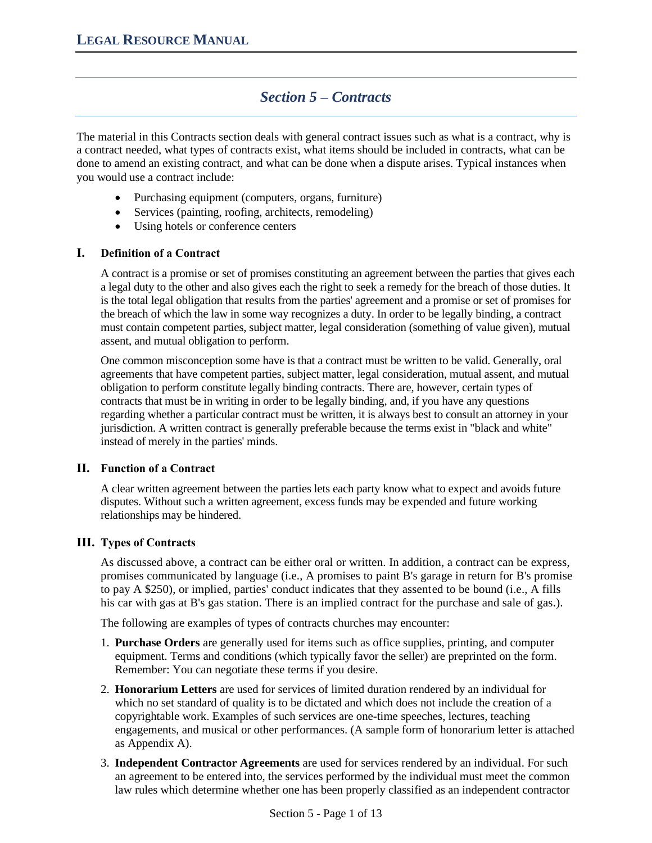# *Section 5 – Contracts*

The material in this Contracts section deals with general contract issues such as what is a contract, why is a contract needed, what types of contracts exist, what items should be included in contracts, what can be done to amend an existing contract, and what can be done when a dispute arises. Typical instances when you would use a contract include:

- Purchasing equipment (computers, organs, furniture)
- Services (painting, roofing, architects, remodeling)
- Using hotels or conference centers

# **I. Definition of a Contract**

A contract is a promise or set of promises constituting an agreement between the parties that gives each a legal duty to the other and also gives each the right to seek a remedy for the breach of those duties. It is the total legal obligation that results from the parties' agreement and a promise or set of promises for the breach of which the law in some way recognizes a duty. In order to be legally binding, a contract must contain competent parties, subject matter, legal consideration (something of value given), mutual assent, and mutual obligation to perform.

One common misconception some have is that a contract must be written to be valid. Generally, oral agreements that have competent parties, subject matter, legal consideration, mutual assent, and mutual obligation to perform constitute legally binding contracts. There are, however, certain types of contracts that must be in writing in order to be legally binding, and, if you have any questions regarding whether a particular contract must be written, it is always best to consult an attorney in your jurisdiction. A written contract is generally preferable because the terms exist in "black and white" instead of merely in the parties' minds.

## **II. Function of a Contract**

A clear written agreement between the parties lets each party know what to expect and avoids future disputes. Without such a written agreement, excess funds may be expended and future working relationships may be hindered.

## **III. Types of Contracts**

As discussed above, a contract can be either oral or written. In addition, a contract can be express, promises communicated by language (i.e., A promises to paint B's garage in return for B's promise to pay A \$250), or implied, parties' conduct indicates that they assented to be bound (i.e., A fills his car with gas at B's gas station. There is an implied contract for the purchase and sale of gas.).

The following are examples of types of contracts churches may encounter:

- 1. **Purchase Orders** are generally used for items such as office supplies, printing, and computer equipment. Terms and conditions (which typically favor the seller) are preprinted on the form. Remember: You can negotiate these terms if you desire.
- 2. **Honorarium Letters** are used for services of limited duration rendered by an individual for which no set standard of quality is to be dictated and which does not include the creation of a copyrightable work. Examples of such services are one-time speeches, lectures, teaching engagements, and musical or other performances. (A sample form of honorarium letter is attached as Appendix A).
- 3. **Independent Contractor Agreements** are used for services rendered by an individual. For such an agreement to be entered into, the services performed by the individual must meet the common law rules which determine whether one has been properly classified as an independent contractor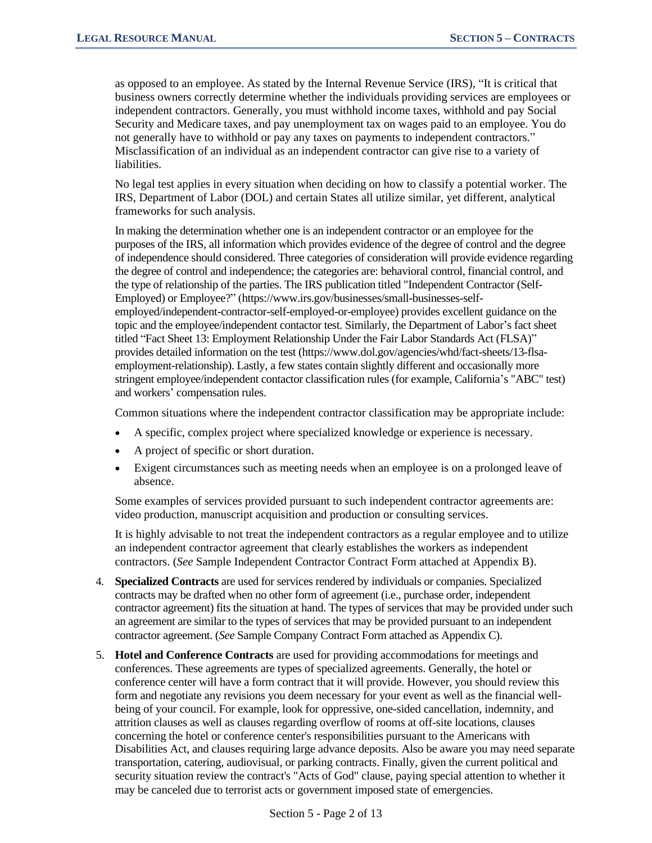as opposed to an employee. As stated by the Internal Revenue Service (IRS), "It is critical that business owners correctly determine whether the individuals providing services are employees or independent contractors. Generally, you must withhold income taxes, withhold and pay Social Security and Medicare taxes, and pay unemployment tax on wages paid to an employee. You do not generally have to withhold or pay any taxes on payments to independent contractors." Misclassification of an individual as an independent contractor can give rise to a variety of liabilities.

No legal test applies in every situation when deciding on how to classify a potential worker. The IRS, Department of Labor (DOL) and certain States all utilize similar, yet different, analytical frameworks for such analysis.

In making the determination whether one is an independent contractor or an employee for the purposes of the IRS, all information which provides evidence of the degree of control and the degree of independence should considered. Three categories of consideration will provide evidence regarding the degree of control and independence; the categories are: behavioral control, financial control, and the type of relationship of the parties. The IRS publication titled "Independent Contractor (Self-Employed) or Employee?" (https://www.irs.gov/businesses/small-businesses-selfemployed/independent-contractor-self-employed-or-employee) provides excellent guidance on the topic and the employee/independent contactor test. Similarly, the Department of Labor's fact sheet titled "Fact Sheet 13: Employment Relationship Under the Fair Labor Standards Act (FLSA)" provides detailed information on the test (https://www.dol.gov/agencies/whd/fact-sheets/13-flsaemployment-relationship). Lastly, a few states contain slightly different and occasionally more stringent employee/independent contactor classification rules (for example, California's "ABC" test) and workers' compensation rules.

Common situations where the independent contractor classification may be appropriate include:

- A specific, complex project where specialized knowledge or experience is necessary.
- A project of specific or short duration.
- Exigent circumstances such as meeting needs when an employee is on a prolonged leave of absence.

Some examples of services provided pursuant to such independent contractor agreements are: video production, manuscript acquisition and production or consulting services.

It is highly advisable to not treat the independent contractors as a regular employee and to utilize an independent contractor agreement that clearly establishes the workers as independent contractors. (*See* Sample Independent Contractor Contract Form attached at Appendix B).

- 4. **Specialized Contracts** are used for services rendered by individuals or companies. Specialized contracts may be drafted when no other form of agreement (i.e., purchase order, independent contractor agreement) fits the situation at hand. The types of services that may be provided under such an agreement are similar to the types of services that may be provided pursuant to an independent contractor agreement. (*See* Sample Company Contract Form attached as Appendix C).
- 5. **Hotel and Conference Contracts** are used for providing accommodations for meetings and conferences. These agreements are types of specialized agreements. Generally, the hotel or conference center will have a form contract that it will provide. However, you should review this form and negotiate any revisions you deem necessary for your event as well as the financial wellbeing of your council. For example, look for oppressive, one-sided cancellation, indemnity, and attrition clauses as well as clauses regarding overflow of rooms at off-site locations, clauses concerning the hotel or conference center's responsibilities pursuant to the Americans with Disabilities Act, and clauses requiring large advance deposits. Also be aware you may need separate transportation, catering, audiovisual, or parking contracts. Finally, given the current political and security situation review the contract's "Acts of God" clause, paying special attention to whether it may be canceled due to terrorist acts or government imposed state of emergencies.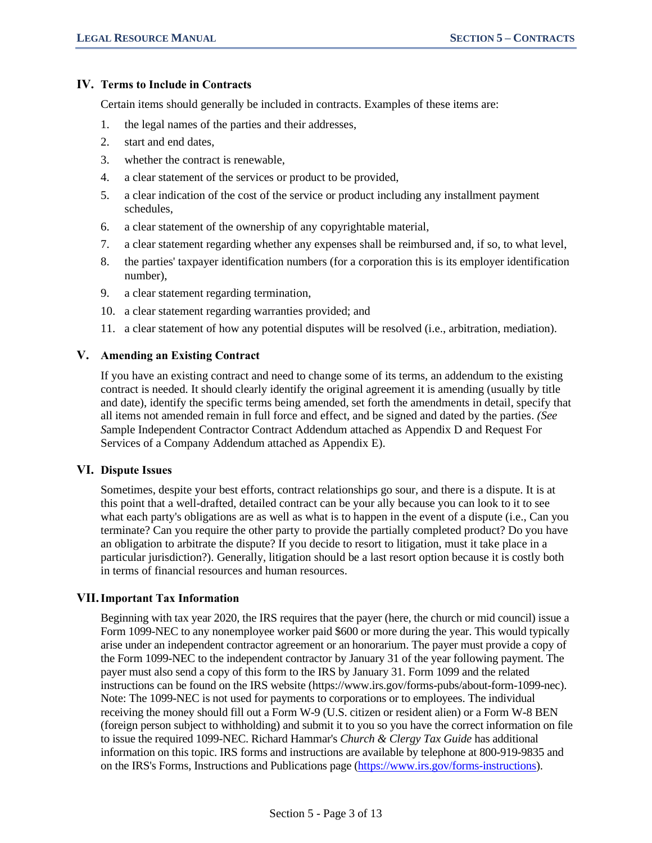## **IV. Terms to Include in Contracts**

Certain items should generally be included in contracts. Examples of these items are:

- 1. the legal names of the parties and their addresses,
- 2. start and end dates,
- 3. whether the contract is renewable,
- 4. a clear statement of the services or product to be provided,
- 5. a clear indication of the cost of the service or product including any installment payment schedules,
- 6. a clear statement of the ownership of any copyrightable material,
- 7. a clear statement regarding whether any expenses shall be reimbursed and, if so, to what level,
- 8. the parties' taxpayer identification numbers (for a corporation this is its employer identification number),
- 9. a clear statement regarding termination,
- 10. a clear statement regarding warranties provided; and
- 11. a clear statement of how any potential disputes will be resolved (i.e., arbitration, mediation).

## **V. Amending an Existing Contract**

If you have an existing contract and need to change some of its terms, an addendum to the existing contract is needed. It should clearly identify the original agreement it is amending (usually by title and date), identify the specific terms being amended, set forth the amendments in detail, specify that all items not amended remain in full force and effect, and be signed and dated by the parties. *(See S*ample Independent Contractor Contract Addendum attached as Appendix D and Request For Services of a Company Addendum attached as Appendix E).

### **VI. Dispute Issues**

Sometimes, despite your best efforts, contract relationships go sour, and there is a dispute. It is at this point that a well-drafted, detailed contract can be your ally because you can look to it to see what each party's obligations are as well as what is to happen in the event of a dispute (i.e., Can you terminate? Can you require the other party to provide the partially completed product? Do you have an obligation to arbitrate the dispute? If you decide to resort to litigation, must it take place in a particular jurisdiction?). Generally, litigation should be a last resort option because it is costly both in terms of financial resources and human resources.

## **VII.Important Tax Information**

Beginning with tax year 2020, the IRS requires that the payer (here, the church or mid council) issue a Form 1099-NEC to any nonemployee worker paid \$600 or more during the year. This would typically arise under an independent contractor agreement or an honorarium. The payer must provide a copy of the Form 1099-NEC to the independent contractor by January 31 of the year following payment. The payer must also send a copy of this form to the IRS by January 31. Form 1099 and the related instructions can be found on the IRS website (https://www.irs.gov/forms-pubs/about-form-1099-nec). Note: The 1099-NEC is not used for payments to corporations or to employees. The individual receiving the money should fill out a Form W-9 (U.S. citizen or resident alien) or a Form W-8 BEN (foreign person subject to withholding) and submit it to you so you have the correct information on file to issue the required 1099-NEC. Richard Hammar's *Church & Clergy Tax Guide* has additional information on this topic. IRS forms and instructions are available by telephone at 800-919-9835 and on the IRS's Forms, Instructions and Publications page [\(https://www.irs.gov/forms-instructions\)](https://www.irs.gov/forms-instructions).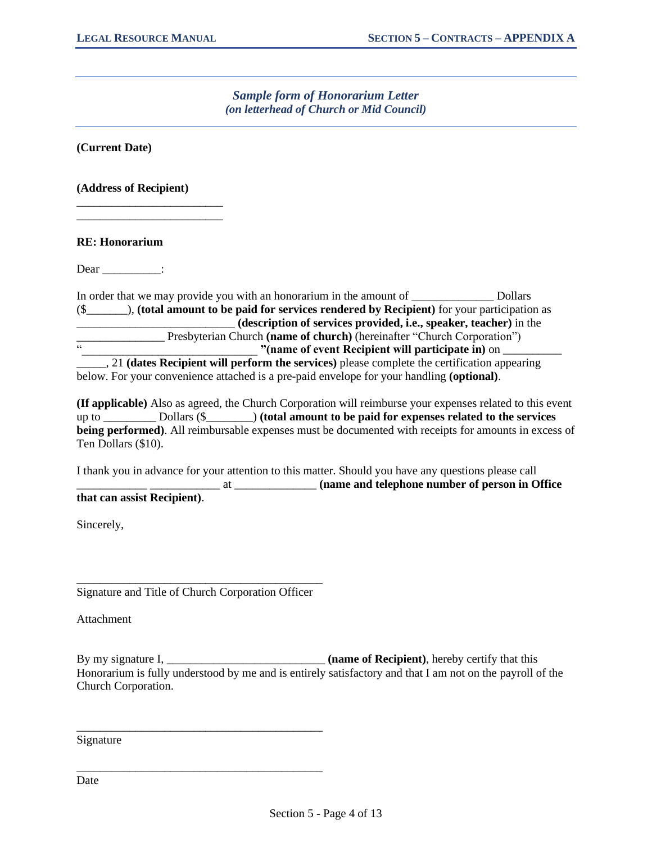# *Sample form of Honorarium Letter (on letterhead of Church or Mid Council)*

**(Current Date)**

**(Address of Recipient)**

\_\_\_\_\_\_\_\_\_\_\_\_\_\_\_\_\_\_\_\_\_\_\_\_\_ \_\_\_\_\_\_\_\_\_\_\_\_\_\_\_\_\_\_\_\_\_\_\_\_\_

**RE: Honorarium**

Dear :

In order that we may provide you with an honorarium in the amount of \_\_\_\_\_\_\_\_\_\_\_\_\_\_ Dollars (\$\_\_\_\_\_\_\_), **(total amount to be paid for services rendered by Recipient)** for your participation as \_\_\_\_\_\_\_\_\_\_\_\_\_\_\_\_\_\_\_\_\_\_\_\_\_\_\_ **(description of services provided, i.e., speaker, teacher)** in the The Presbyterian Church **(name of church)** (hereinafter "Church Corporation") "(name of event Recipient will participate in) on  $\blacksquare$ 

\_\_\_\_\_, 21 **(dates Recipient will perform the services)** please complete the certification appearing below. For your convenience attached is a pre-paid envelope for your handling **(optional)**.

**(If applicable)** Also as agreed, the Church Corporation will reimburse your expenses related to this event up to \_\_\_\_\_\_\_\_\_ Dollars (\$\_\_\_\_\_\_\_\_) **(total amount to be paid for expenses related to the services being performed)**. All reimbursable expenses must be documented with receipts for amounts in excess of Ten Dollars (\$10).

I thank you in advance for your attention to this matter. Should you have any questions please call \_\_\_\_\_\_\_\_\_\_\_\_ \_\_\_\_\_\_\_\_\_\_\_\_ at \_\_\_\_\_\_\_\_\_\_\_\_\_\_ **(name and telephone number of person in Office that can assist Recipient)**.

Sincerely,

\_\_\_\_\_\_\_\_\_\_\_\_\_\_\_\_\_\_\_\_\_\_\_\_\_\_\_\_\_\_\_\_\_\_\_\_\_\_\_\_\_\_ Signature and Title of Church Corporation Officer

\_\_\_\_\_\_\_\_\_\_\_\_\_\_\_\_\_\_\_\_\_\_\_\_\_\_\_\_\_\_\_\_\_\_\_\_\_\_\_\_\_\_

\_\_\_\_\_\_\_\_\_\_\_\_\_\_\_\_\_\_\_\_\_\_\_\_\_\_\_\_\_\_\_\_\_\_\_\_\_\_\_\_\_\_

**Attachment** 

By my signature I, \_\_\_\_\_\_\_\_\_\_\_\_\_\_\_\_\_\_\_\_\_\_\_\_\_\_\_ **(name of Recipient)**, hereby certify that this Honorarium is fully understood by me and is entirely satisfactory and that I am not on the payroll of the Church Corporation.

Signature

Date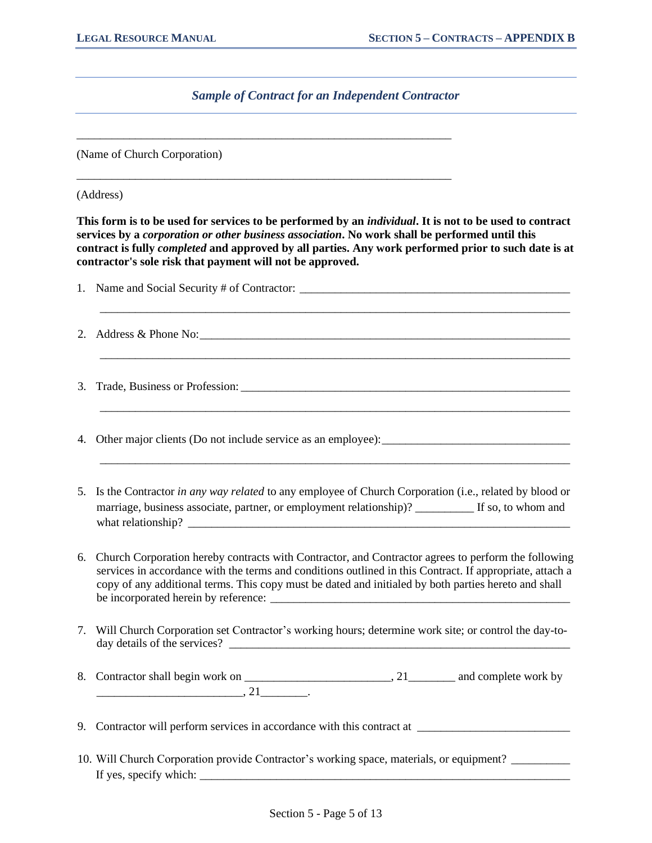# *Sample of Contract for an Independent Contractor*

\_\_\_\_\_\_\_\_\_\_\_\_\_\_\_\_\_\_\_\_\_\_\_\_\_\_\_\_\_\_\_\_\_\_\_\_\_\_\_\_\_\_\_\_\_\_\_\_\_\_\_\_\_\_\_\_\_\_\_\_\_\_\_\_

\_\_\_\_\_\_\_\_\_\_\_\_\_\_\_\_\_\_\_\_\_\_\_\_\_\_\_\_\_\_\_\_\_\_\_\_\_\_\_\_\_\_\_\_\_\_\_\_\_\_\_\_\_\_\_\_\_\_\_\_\_\_\_\_

(Name of Church Corporation)

(Address)

**This form is to be used for services to be performed by an** *individual***. It is not to be used to contract services by a** *corporation or other business association***. No work shall be performed until this contract is fully** *completed* **and approved by all parties. Any work performed prior to such date is at contractor's sole risk that payment will not be approved.**

|    | 2. Address & Phone No: $\qquad \qquad$                                                                                                                                                                                                                                                                                  |
|----|-------------------------------------------------------------------------------------------------------------------------------------------------------------------------------------------------------------------------------------------------------------------------------------------------------------------------|
| 3. |                                                                                                                                                                                                                                                                                                                         |
| 4. |                                                                                                                                                                                                                                                                                                                         |
|    | 5. Is the Contractor in any way related to any employee of Church Corporation (i.e., related by blood or<br>marriage, business associate, partner, or employment relationship)? _________ If so, to whom and                                                                                                            |
| 6. | Church Corporation hereby contracts with Contractor, and Contractor agrees to perform the following<br>services in accordance with the terms and conditions outlined in this Contract. If appropriate, attach a<br>copy of any additional terms. This copy must be dated and initialed by both parties hereto and shall |
|    | 7. Will Church Corporation set Contractor's working hours; determine work site; or control the day-to-                                                                                                                                                                                                                  |
|    |                                                                                                                                                                                                                                                                                                                         |
| 9. |                                                                                                                                                                                                                                                                                                                         |

10. Will Church Corporation provide Contractor's working space, materials, or equipment? \_\_\_\_\_\_\_\_\_\_ If yes, specify which:  $\Box$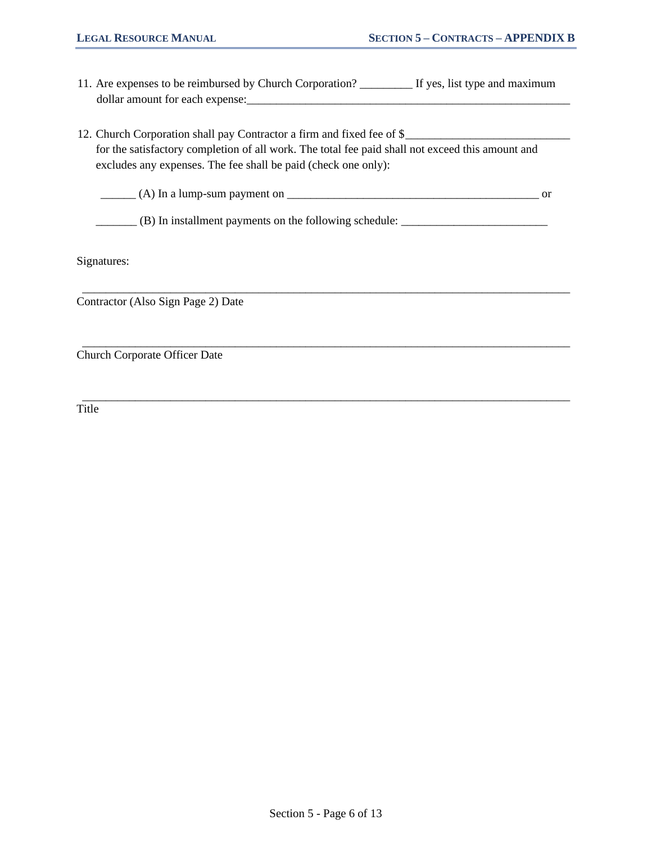- 11. Are expenses to be reimbursed by Church Corporation? \_\_\_\_\_\_\_\_\_ If yes, list type and maximum dollar amount for each expense:\_\_\_\_\_\_\_\_\_\_\_\_\_\_\_\_\_\_\_\_\_\_\_\_\_\_\_\_\_\_\_\_\_\_\_\_\_\_\_\_\_\_\_\_\_\_\_\_\_\_\_\_\_\_\_
- 12. Church Corporation shall pay Contractor a firm and fixed fee of \$ for the satisfactory completion of all work. The total fee paid shall not exceed this amount and excludes any expenses. The fee shall be paid (check one only):

 $\frac{1}{2}$  (A) In a lump-sum payment on  $\frac{1}{2}$  or

\_\_\_\_\_\_\_\_\_\_\_\_\_\_\_\_\_\_\_\_\_\_\_\_\_\_\_\_\_\_\_\_\_\_\_\_\_\_\_\_\_\_\_\_\_\_\_\_\_\_\_\_\_\_\_\_\_\_\_\_\_\_\_\_\_\_\_\_\_\_\_\_\_\_\_\_\_\_\_\_\_\_\_

\_\_\_\_\_\_\_\_\_\_\_\_\_\_\_\_\_\_\_\_\_\_\_\_\_\_\_\_\_\_\_\_\_\_\_\_\_\_\_\_\_\_\_\_\_\_\_\_\_\_\_\_\_\_\_\_\_\_\_\_\_\_\_\_\_\_\_\_\_\_\_\_\_\_\_\_\_\_\_\_\_\_\_

\_\_\_\_\_\_\_\_\_\_\_\_\_\_\_\_\_\_\_\_\_\_\_\_\_\_\_\_\_\_\_\_\_\_\_\_\_\_\_\_\_\_\_\_\_\_\_\_\_\_\_\_\_\_\_\_\_\_\_\_\_\_\_\_\_\_\_\_\_\_\_\_\_\_\_\_\_\_\_\_\_\_\_

\_\_\_\_\_\_\_ (B) In installment payments on the following schedule: \_\_\_\_\_\_\_\_\_\_\_\_\_\_\_\_\_\_\_\_\_\_\_\_\_

Signatures:

Contractor (Also Sign Page 2) Date

Church Corporate Officer Date

Title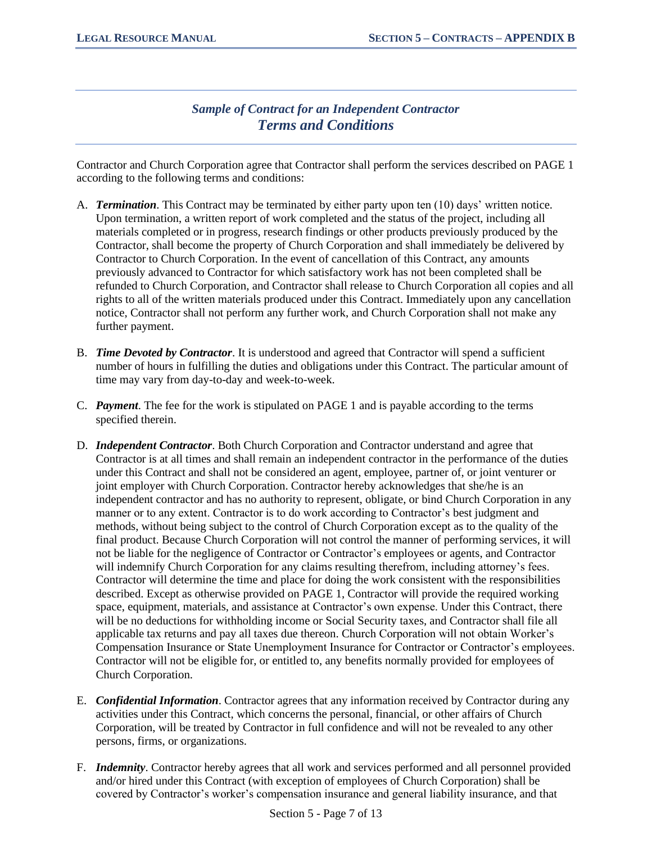# *Sample of Contract for an Independent Contractor Terms and Conditions*

Contractor and Church Corporation agree that Contractor shall perform the services described on PAGE 1 according to the following terms and conditions:

- A. *Termination*. This Contract may be terminated by either party upon ten (10) days' written notice. Upon termination, a written report of work completed and the status of the project, including all materials completed or in progress, research findings or other products previously produced by the Contractor, shall become the property of Church Corporation and shall immediately be delivered by Contractor to Church Corporation. In the event of cancellation of this Contract, any amounts previously advanced to Contractor for which satisfactory work has not been completed shall be refunded to Church Corporation, and Contractor shall release to Church Corporation all copies and all rights to all of the written materials produced under this Contract. Immediately upon any cancellation notice, Contractor shall not perform any further work, and Church Corporation shall not make any further payment.
- B. *Time Devoted by Contractor*. It is understood and agreed that Contractor will spend a sufficient number of hours in fulfilling the duties and obligations under this Contract. The particular amount of time may vary from day-to-day and week-to-week.
- C. *Payment*. The fee for the work is stipulated on PAGE 1 and is payable according to the terms specified therein.
- D. *Independent Contractor*. Both Church Corporation and Contractor understand and agree that Contractor is at all times and shall remain an independent contractor in the performance of the duties under this Contract and shall not be considered an agent, employee, partner of, or joint venturer or joint employer with Church Corporation. Contractor hereby acknowledges that she/he is an independent contractor and has no authority to represent, obligate, or bind Church Corporation in any manner or to any extent. Contractor is to do work according to Contractor's best judgment and methods, without being subject to the control of Church Corporation except as to the quality of the final product. Because Church Corporation will not control the manner of performing services, it will not be liable for the negligence of Contractor or Contractor's employees or agents, and Contractor will indemnify Church Corporation for any claims resulting therefrom, including attorney's fees. Contractor will determine the time and place for doing the work consistent with the responsibilities described. Except as otherwise provided on PAGE 1, Contractor will provide the required working space, equipment, materials, and assistance at Contractor's own expense. Under this Contract, there will be no deductions for withholding income or Social Security taxes, and Contractor shall file all applicable tax returns and pay all taxes due thereon. Church Corporation will not obtain Worker's Compensation Insurance or State Unemployment Insurance for Contractor or Contractor's employees. Contractor will not be eligible for, or entitled to, any benefits normally provided for employees of Church Corporation.
- E. *Confidential Information*. Contractor agrees that any information received by Contractor during any activities under this Contract, which concerns the personal, financial, or other affairs of Church Corporation, will be treated by Contractor in full confidence and will not be revealed to any other persons, firms, or organizations.
- F. *Indemnity*. Contractor hereby agrees that all work and services performed and all personnel provided and/or hired under this Contract (with exception of employees of Church Corporation) shall be covered by Contractor's worker's compensation insurance and general liability insurance, and that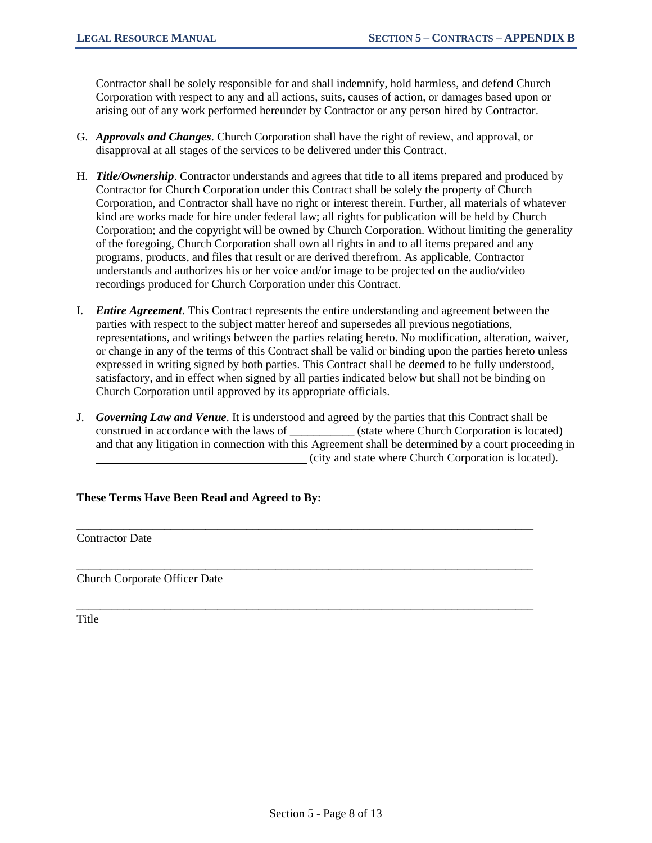Contractor shall be solely responsible for and shall indemnify, hold harmless, and defend Church Corporation with respect to any and all actions, suits, causes of action, or damages based upon or arising out of any work performed hereunder by Contractor or any person hired by Contractor.

- G. *Approvals and Changes*. Church Corporation shall have the right of review, and approval, or disapproval at all stages of the services to be delivered under this Contract.
- H. *Title/Ownership*. Contractor understands and agrees that title to all items prepared and produced by Contractor for Church Corporation under this Contract shall be solely the property of Church Corporation, and Contractor shall have no right or interest therein. Further, all materials of whatever kind are works made for hire under federal law; all rights for publication will be held by Church Corporation; and the copyright will be owned by Church Corporation. Without limiting the generality of the foregoing, Church Corporation shall own all rights in and to all items prepared and any programs, products, and files that result or are derived therefrom. As applicable, Contractor understands and authorizes his or her voice and/or image to be projected on the audio/video recordings produced for Church Corporation under this Contract.
- I. *Entire Agreement*. This Contract represents the entire understanding and agreement between the parties with respect to the subject matter hereof and supersedes all previous negotiations, representations, and writings between the parties relating hereto. No modification, alteration, waiver, or change in any of the terms of this Contract shall be valid or binding upon the parties hereto unless expressed in writing signed by both parties. This Contract shall be deemed to be fully understood, satisfactory, and in effect when signed by all parties indicated below but shall not be binding on Church Corporation until approved by its appropriate officials.
- J. *Governing Law and Venue*. It is understood and agreed by the parties that this Contract shall be construed in accordance with the laws of \_\_\_\_\_\_\_\_\_\_\_ (state where Church Corporation is located) and that any litigation in connection with this Agreement shall be determined by a court proceeding in (city and state where Church Corporation is located).

\_\_\_\_\_\_\_\_\_\_\_\_\_\_\_\_\_\_\_\_\_\_\_\_\_\_\_\_\_\_\_\_\_\_\_\_\_\_\_\_\_\_\_\_\_\_\_\_\_\_\_\_\_\_\_\_\_\_\_\_\_\_\_\_\_\_\_\_\_\_\_\_\_\_\_\_\_\_

\_\_\_\_\_\_\_\_\_\_\_\_\_\_\_\_\_\_\_\_\_\_\_\_\_\_\_\_\_\_\_\_\_\_\_\_\_\_\_\_\_\_\_\_\_\_\_\_\_\_\_\_\_\_\_\_\_\_\_\_\_\_\_\_\_\_\_\_\_\_\_\_\_\_\_\_\_\_

\_\_\_\_\_\_\_\_\_\_\_\_\_\_\_\_\_\_\_\_\_\_\_\_\_\_\_\_\_\_\_\_\_\_\_\_\_\_\_\_\_\_\_\_\_\_\_\_\_\_\_\_\_\_\_\_\_\_\_\_\_\_\_\_\_\_\_\_\_\_\_\_\_\_\_\_\_\_

**These Terms Have Been Read and Agreed to By:**

Contractor Date

Church Corporate Officer Date

Title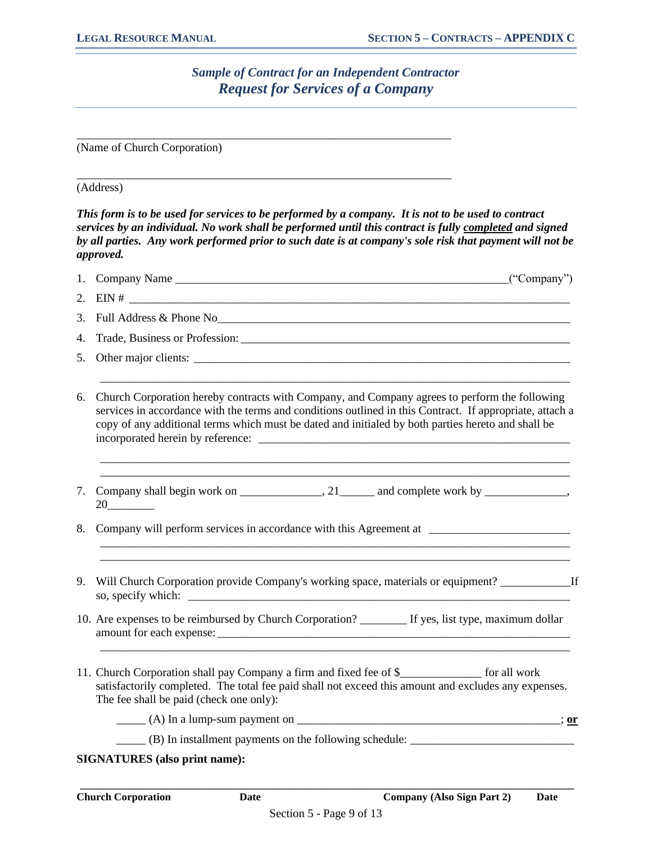# *Sample of Contract for an Independent Contractor Request for Services of a Company*

\_\_\_\_\_\_\_\_\_\_\_\_\_\_\_\_\_\_\_\_\_\_\_\_\_\_\_\_\_\_\_\_\_\_\_\_\_\_\_\_\_\_\_\_\_\_\_\_\_\_\_\_\_\_\_\_\_\_\_\_\_\_\_\_

\_\_\_\_\_\_\_\_\_\_\_\_\_\_\_\_\_\_\_\_\_\_\_\_\_\_\_\_\_\_\_\_\_\_\_\_\_\_\_\_\_\_\_\_\_\_\_\_\_\_\_\_\_\_\_\_\_\_\_\_\_\_\_\_

(Name of Church Corporation)

### (Address)

*This form is to be used for services to be performed by a company. It is not to be used to contract services by an individual. No work shall be performed until this contract is fully completed and signed by all parties. Any work performed prior to such date is at company's sole risk that payment will not be approved.*

|    | ("Company")                                                                                                                                                                                                                                                                                                     |
|----|-----------------------------------------------------------------------------------------------------------------------------------------------------------------------------------------------------------------------------------------------------------------------------------------------------------------|
|    |                                                                                                                                                                                                                                                                                                                 |
| 3. |                                                                                                                                                                                                                                                                                                                 |
| 4. |                                                                                                                                                                                                                                                                                                                 |
| 5. |                                                                                                                                                                                                                                                                                                                 |
| 6. | Church Corporation hereby contracts with Company, and Company agrees to perform the following<br>services in accordance with the terms and conditions outlined in this Contract. If appropriate, attach a<br>copy of any additional terms which must be dated and initialed by both parties hereto and shall be |
| 7. |                                                                                                                                                                                                                                                                                                                 |
| 8. |                                                                                                                                                                                                                                                                                                                 |
| 9. | Will Church Corporation provide Company's working space, materials or equipment? ___________________If                                                                                                                                                                                                          |
|    | 10. Are expenses to be reimbursed by Church Corporation? ________ If yes, list type, maximum dollar                                                                                                                                                                                                             |
|    | 11. Church Corporation shall pay Company a firm and fixed fee of \$_______________ for all work<br>satisfactorily completed. The total fee paid shall not exceed this amount and excludes any expenses.<br>The fee shall be paid (check one only):                                                              |
|    | $($ A) In a lump-sum payment on $\frac{1}{\sqrt{2\pi}}$                                                                                                                                                                                                                                                         |
|    | (B) In installment payments on the following schedule:                                                                                                                                                                                                                                                          |
|    | <b>SIGNATURES</b> (also print name):                                                                                                                                                                                                                                                                            |

**\_\_\_\_\_\_\_\_\_\_\_\_\_\_\_\_\_\_\_\_\_\_\_\_\_\_\_\_\_\_\_\_\_\_\_\_\_\_\_\_\_\_\_\_\_\_\_\_\_\_\_\_\_\_\_\_\_\_\_\_\_\_\_\_\_\_\_\_\_\_\_\_\_\_\_\_\_\_\_\_\_\_\_\_\_\_\_\_\_\_\_\_**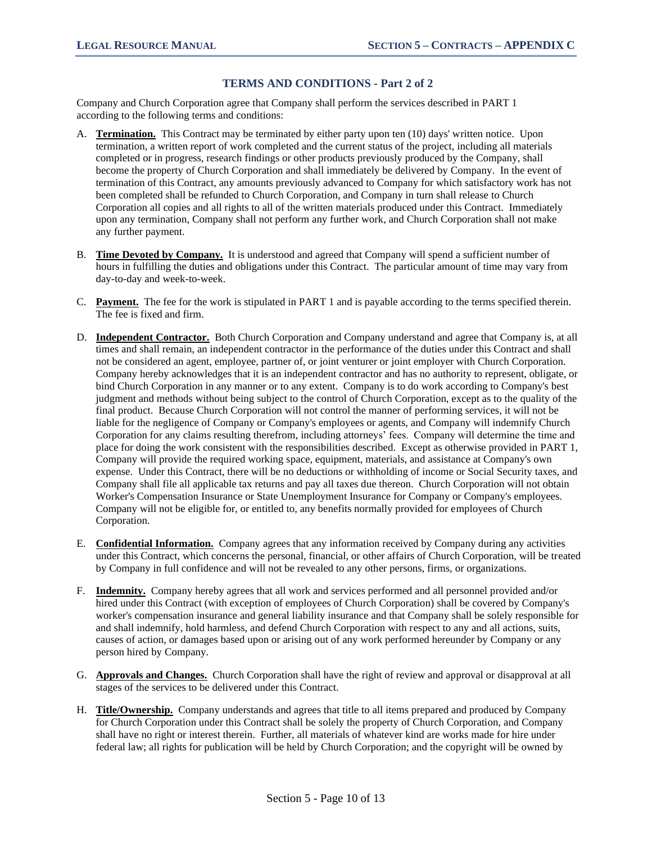### **TERMS AND CONDITIONS - Part 2 of 2**

Company and Church Corporation agree that Company shall perform the services described in PART 1 according to the following terms and conditions:

- A. **Termination.** This Contract may be terminated by either party upon ten (10) days' written notice. Upon termination, a written report of work completed and the current status of the project, including all materials completed or in progress, research findings or other products previously produced by the Company, shall become the property of Church Corporation and shall immediately be delivered by Company. In the event of termination of this Contract, any amounts previously advanced to Company for which satisfactory work has not been completed shall be refunded to Church Corporation, and Company in turn shall release to Church Corporation all copies and all rights to all of the written materials produced under this Contract. Immediately upon any termination, Company shall not perform any further work, and Church Corporation shall not make any further payment.
- B. **Time Devoted by Company.** It is understood and agreed that Company will spend a sufficient number of hours in fulfilling the duties and obligations under this Contract. The particular amount of time may vary from day-to-day and week-to-week.
- C. **Payment.** The fee for the work is stipulated in PART 1 and is payable according to the terms specified therein. The fee is fixed and firm.
- D. **Independent Contractor.** Both Church Corporation and Company understand and agree that Company is, at all times and shall remain, an independent contractor in the performance of the duties under this Contract and shall not be considered an agent, employee, partner of, or joint venturer or joint employer with Church Corporation. Company hereby acknowledges that it is an independent contractor and has no authority to represent, obligate, or bind Church Corporation in any manner or to any extent. Company is to do work according to Company's best judgment and methods without being subject to the control of Church Corporation, except as to the quality of the final product. Because Church Corporation will not control the manner of performing services, it will not be liable for the negligence of Company or Company's employees or agents, and Company will indemnify Church Corporation for any claims resulting therefrom, including attorneys' fees. Company will determine the time and place for doing the work consistent with the responsibilities described. Except as otherwise provided in PART 1, Company will provide the required working space, equipment, materials, and assistance at Company's own expense. Under this Contract, there will be no deductions or withholding of income or Social Security taxes, and Company shall file all applicable tax returns and pay all taxes due thereon. Church Corporation will not obtain Worker's Compensation Insurance or State Unemployment Insurance for Company or Company's employees. Company will not be eligible for, or entitled to, any benefits normally provided for employees of Church Corporation.
- E. **Confidential Information.** Company agrees that any information received by Company during any activities under this Contract, which concerns the personal, financial, or other affairs of Church Corporation, will be treated by Company in full confidence and will not be revealed to any other persons, firms, or organizations.
- F. **Indemnity.** Company hereby agrees that all work and services performed and all personnel provided and/or hired under this Contract (with exception of employees of Church Corporation) shall be covered by Company's worker's compensation insurance and general liability insurance and that Company shall be solely responsible for and shall indemnify, hold harmless, and defend Church Corporation with respect to any and all actions, suits, causes of action, or damages based upon or arising out of any work performed hereunder by Company or any person hired by Company.
- G. **Approvals and Changes.** Church Corporation shall have the right of review and approval or disapproval at all stages of the services to be delivered under this Contract.
- H. **Title/Ownership.** Company understands and agrees that title to all items prepared and produced by Company for Church Corporation under this Contract shall be solely the property of Church Corporation, and Company shall have no right or interest therein. Further, all materials of whatever kind are works made for hire under federal law; all rights for publication will be held by Church Corporation; and the copyright will be owned by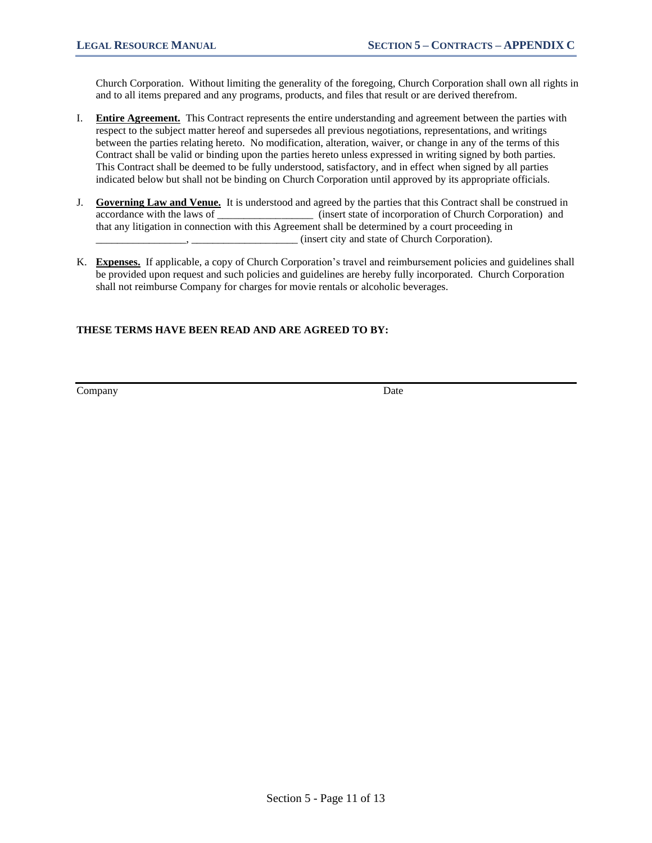Church Corporation. Without limiting the generality of the foregoing, Church Corporation shall own all rights in and to all items prepared and any programs, products, and files that result or are derived therefrom.

- I. **Entire Agreement.** This Contract represents the entire understanding and agreement between the parties with respect to the subject matter hereof and supersedes all previous negotiations, representations, and writings between the parties relating hereto. No modification, alteration, waiver, or change in any of the terms of this Contract shall be valid or binding upon the parties hereto unless expressed in writing signed by both parties. This Contract shall be deemed to be fully understood, satisfactory, and in effect when signed by all parties indicated below but shall not be binding on Church Corporation until approved by its appropriate officials.
- J. **Governing Law and Venue.** It is understood and agreed by the parties that this Contract shall be construed in accordance with the laws of \_\_\_\_\_\_\_\_\_\_\_\_\_\_\_\_\_\_ (insert state of incorporation of Church Corporation) and that any litigation in connection with this Agreement shall be determined by a court proceeding in \_\_\_\_\_\_\_\_\_\_\_\_\_\_\_\_\_, \_\_\_\_\_\_\_\_\_\_\_\_\_\_\_\_\_\_\_\_ (insert city and state of Church Corporation).
- K. **Expenses.** If applicable, a copy of Church Corporation's travel and reimbursement policies and guidelines shall be provided upon request and such policies and guidelines are hereby fully incorporated. Church Corporation shall not reimburse Company for charges for movie rentals or alcoholic beverages.

### **THESE TERMS HAVE BEEN READ AND ARE AGREED TO BY:**

Company Date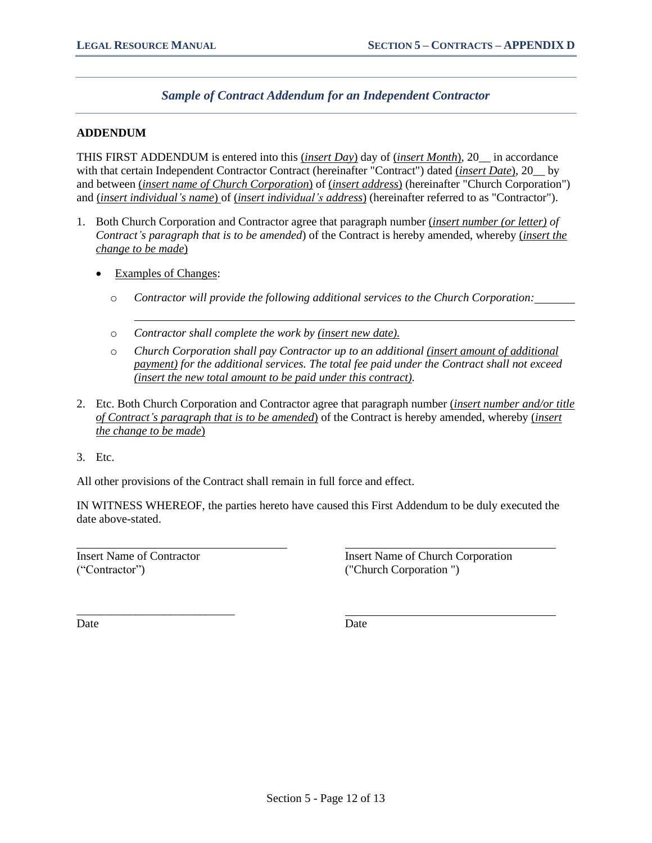# *Sample of Contract Addendum for an Independent Contractor*

#### **ADDENDUM**

THIS FIRST ADDENDUM is entered into this (*insert Day*) day of (*insert Month*), 20\_\_ in accordance with that certain Independent Contractor Contract (hereinafter "Contract") dated (*insert Date*), 20\_\_ by and between (*insert name of Church Corporation*) of (*insert address*) (hereinafter "Church Corporation") and (*insert individual's name*) of (*insert individual's address*) (hereinafter referred to as "Contractor").

- 1. Both Church Corporation and Contractor agree that paragraph number (*insert number (or letter) of Contract's paragraph that is to be amended*) of the Contract is hereby amended, whereby (*insert the change to be made*)
	- Examples of Changes:
		- o *Contractor will provide the following additional services to the Church Corporation:*
		- o *Contractor shall complete the work by (insert new date).*
		- o *Church Corporation shall pay Contractor up to an additional (insert amount of additional payment) for the additional services. The total fee paid under the Contract shall not exceed (insert the new total amount to be paid under this contract).*
- 2. Etc. Both Church Corporation and Contractor agree that paragraph number (*insert number and/or title of Contract's paragraph that is to be amended*) of the Contract is hereby amended, whereby (*insert the change to be made*)
- 3. Etc.

All other provisions of the Contract shall remain in full force and effect.

IN WITNESS WHEREOF, the parties hereto have caused this First Addendum to be duly executed the date above-stated.

("Contractor") ("Church Corporation ")

\_\_\_\_\_\_\_\_\_\_\_\_\_\_\_\_\_\_\_\_\_\_\_\_\_\_\_

Insert Name of Contractor Insert Name of Church Corporation

Date Date Date